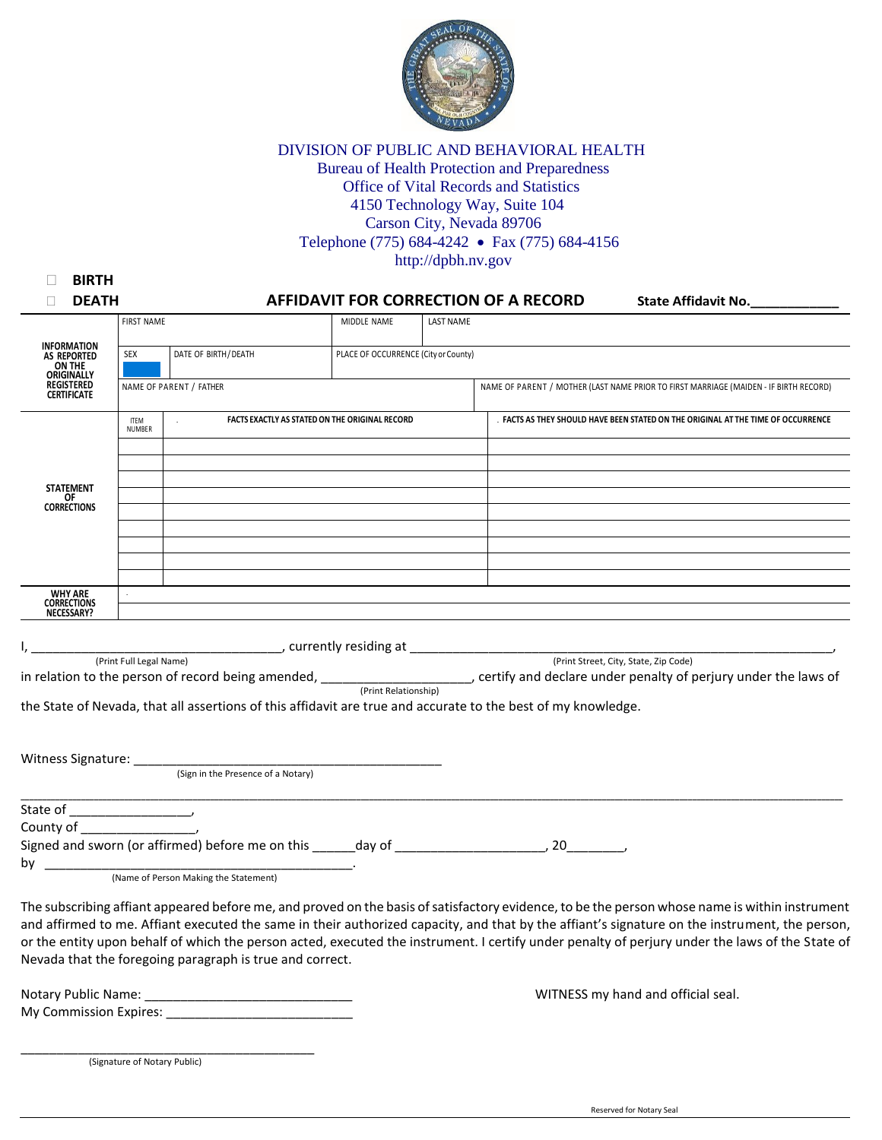

DIVISION OF PUBLIC AND BEHAVIORAL HEALTH Bureau of Health Protection and Preparedness Office of Vital Records and Statistics 4150 Technology Way, Suite 104 Carson City, Nevada 89706 Telephone (775) 684-4242 • Fax (775) 684-4156 http://dpbh.nv.gov

| <b>BIRTH</b>                                          |                         |                                                                                                                                                                                                                                                                                                  |                                                |                                                                                       |                                                                                   |  |                     |
|-------------------------------------------------------|-------------------------|--------------------------------------------------------------------------------------------------------------------------------------------------------------------------------------------------------------------------------------------------------------------------------------------------|------------------------------------------------|---------------------------------------------------------------------------------------|-----------------------------------------------------------------------------------|--|---------------------|
| <b>DEATH</b>                                          |                         |                                                                                                                                                                                                                                                                                                  |                                                |                                                                                       | AFFIDAVIT FOR CORRECTION OF A RECORD                                              |  | State Affidavit No. |
|                                                       | <b>FIRST NAME</b>       |                                                                                                                                                                                                                                                                                                  | MIDDLE NAME                                    | <b>LAST NAME</b>                                                                      |                                                                                   |  |                     |
| <b>INFORMATION</b><br><b>AS REPORTED</b><br>ON THE    | <b>SEX</b>              | DATE OF BIRTH/DEATH                                                                                                                                                                                                                                                                              |                                                | PLACE OF OCCURRENCE (City or County)                                                  |                                                                                   |  |                     |
| ORIGINALLY<br><b>REGISTERED</b><br><b>CERTIFICATE</b> | NAME OF PARENT / FATHER |                                                                                                                                                                                                                                                                                                  |                                                | NAME OF PARENT / MOTHER (LAST NAME PRIOR TO FIRST MARRIAGE (MAIDEN - IF BIRTH RECORD) |                                                                                   |  |                     |
|                                                       | <b>ITEM</b><br>NUMBER   |                                                                                                                                                                                                                                                                                                  | FACTS EXACTLY AS STATED ON THE ORIGINAL RECORD |                                                                                       | . FACTS AS THEY SHOULD HAVE BEEN STATED ON THE ORIGINAL AT THE TIME OF OCCURRENCE |  |                     |
| <b>STATEMENT</b><br>OF<br>CORRECTIONS                 |                         |                                                                                                                                                                                                                                                                                                  |                                                |                                                                                       |                                                                                   |  |                     |
|                                                       |                         |                                                                                                                                                                                                                                                                                                  |                                                |                                                                                       |                                                                                   |  |                     |
|                                                       |                         |                                                                                                                                                                                                                                                                                                  |                                                |                                                                                       |                                                                                   |  |                     |
|                                                       |                         |                                                                                                                                                                                                                                                                                                  |                                                |                                                                                       |                                                                                   |  |                     |
| <b>WHY ARE</b><br><b>CORRECTIONS</b><br>NECESSARY?    |                         |                                                                                                                                                                                                                                                                                                  |                                                |                                                                                       |                                                                                   |  |                     |
|                                                       |                         | in relation to the person of record being amended, $\frac{(Print Relations)_{top}}{(Print Relationship)}$ , certify and declare under penalty of perjury under the laws of<br>the State of Nevada, that all assertions of this affidavit are true and accurate to the best of my knowledge.      |                                                |                                                                                       |                                                                                   |  |                     |
|                                                       |                         | (Sign in the Presence of a Notary)                                                                                                                                                                                                                                                               |                                                |                                                                                       |                                                                                   |  |                     |
|                                                       |                         |                                                                                                                                                                                                                                                                                                  |                                                |                                                                                       |                                                                                   |  |                     |
|                                                       |                         |                                                                                                                                                                                                                                                                                                  |                                                |                                                                                       |                                                                                   |  |                     |
|                                                       |                         | (Name of Person Making the Statement)                                                                                                                                                                                                                                                            |                                                |                                                                                       |                                                                                   |  |                     |
|                                                       |                         | The subscribing affiant appeared before me, and proved on the basis of satisfactory evidence, to be the person whose name is within instrument<br>and affirmed to me. Affiant executed the same in their authorized capacity, and that by the affiant's signature on the instrument, the person, |                                                |                                                                                       |                                                                                   |  |                     |

and affirmed to me. Affiant executed the same in their authorized capacity, and that by the affiant's signature on the instrument, the person, or the entity upon behalf of which the person acted, executed the instrument. I certify under penalty of perjury under the laws of the State of Nevada that the foregoing paragraph is true and correct.

Notary Public Name: \_\_\_\_\_\_\_\_\_\_\_\_\_\_\_\_\_\_\_\_\_\_\_\_\_\_\_\_\_ WITNESS my hand and official seal. My Commission Expires: \_\_\_\_\_\_\_\_\_\_\_\_\_\_\_\_\_\_\_\_\_\_\_\_\_\_

\_\_\_\_\_\_\_\_\_\_\_\_\_\_\_\_\_\_\_\_\_\_\_\_\_\_\_\_\_\_\_\_\_\_\_\_\_\_\_\_\_ (Signature of Notary Public)